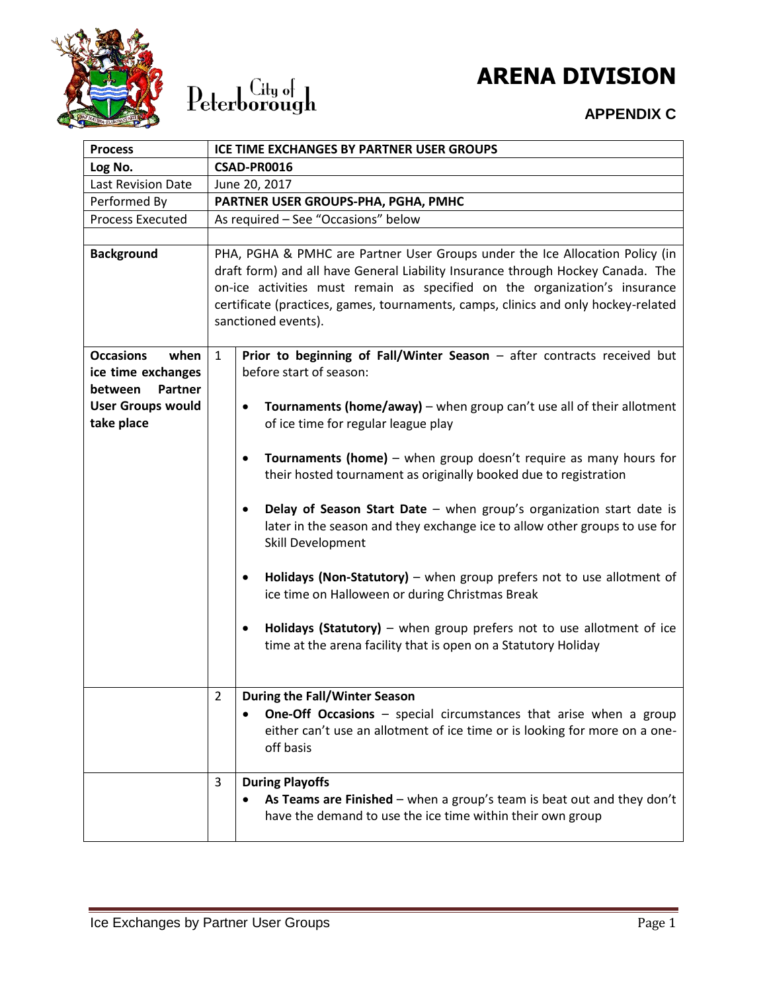



### **ARENA DIVISION**

### **APPENDIX C**

| <b>Process</b>                      | ICE TIME EXCHANGES BY PARTNER USER GROUPS                                                                                                                                                                                                                                                                                                                  |  |  |
|-------------------------------------|------------------------------------------------------------------------------------------------------------------------------------------------------------------------------------------------------------------------------------------------------------------------------------------------------------------------------------------------------------|--|--|
| Log No.                             | CSAD-PR0016                                                                                                                                                                                                                                                                                                                                                |  |  |
| Last Revision Date                  | June 20, 2017                                                                                                                                                                                                                                                                                                                                              |  |  |
| Performed By                        | PARTNER USER GROUPS-PHA, PGHA, PMHC                                                                                                                                                                                                                                                                                                                        |  |  |
| <b>Process Executed</b>             | As required - See "Occasions" below                                                                                                                                                                                                                                                                                                                        |  |  |
|                                     |                                                                                                                                                                                                                                                                                                                                                            |  |  |
| <b>Background</b>                   | PHA, PGHA & PMHC are Partner User Groups under the Ice Allocation Policy (in<br>draft form) and all have General Liability Insurance through Hockey Canada. The<br>on-ice activities must remain as specified on the organization's insurance<br>certificate (practices, games, tournaments, camps, clinics and only hockey-related<br>sanctioned events). |  |  |
| <b>Occasions</b><br>when            | $\mathbf{1}$<br>Prior to beginning of Fall/Winter Season - after contracts received but                                                                                                                                                                                                                                                                    |  |  |
| ice time exchanges<br>Partner       | before start of season:                                                                                                                                                                                                                                                                                                                                    |  |  |
| between<br><b>User Groups would</b> |                                                                                                                                                                                                                                                                                                                                                            |  |  |
| take place                          | Tournaments (home/away) – when group can't use all of their allotment<br>$\bullet$<br>of ice time for regular league play                                                                                                                                                                                                                                  |  |  |
|                                     |                                                                                                                                                                                                                                                                                                                                                            |  |  |
|                                     | Tournaments (home) - when group doesn't require as many hours for<br>$\bullet$<br>their hosted tournament as originally booked due to registration                                                                                                                                                                                                         |  |  |
|                                     | Delay of Season Start Date - when group's organization start date is<br>$\bullet$<br>later in the season and they exchange ice to allow other groups to use for<br>Skill Development                                                                                                                                                                       |  |  |
|                                     | Holidays (Non-Statutory) - when group prefers not to use allotment of<br>$\bullet$<br>ice time on Halloween or during Christmas Break                                                                                                                                                                                                                      |  |  |
|                                     | Holidays (Statutory) $-$ when group prefers not to use allotment of ice<br>$\bullet$<br>time at the arena facility that is open on a Statutory Holiday                                                                                                                                                                                                     |  |  |
|                                     | <b>During the Fall/Winter Season</b><br>$\overline{2}$                                                                                                                                                                                                                                                                                                     |  |  |
|                                     | One-Off Occasions - special circumstances that arise when a group<br>either can't use an allotment of ice time or is looking for more on a one-<br>off basis                                                                                                                                                                                               |  |  |
|                                     | <b>During Playoffs</b><br>3                                                                                                                                                                                                                                                                                                                                |  |  |
|                                     | As Teams are Finished – when a group's team is beat out and they don't<br>have the demand to use the ice time within their own group                                                                                                                                                                                                                       |  |  |